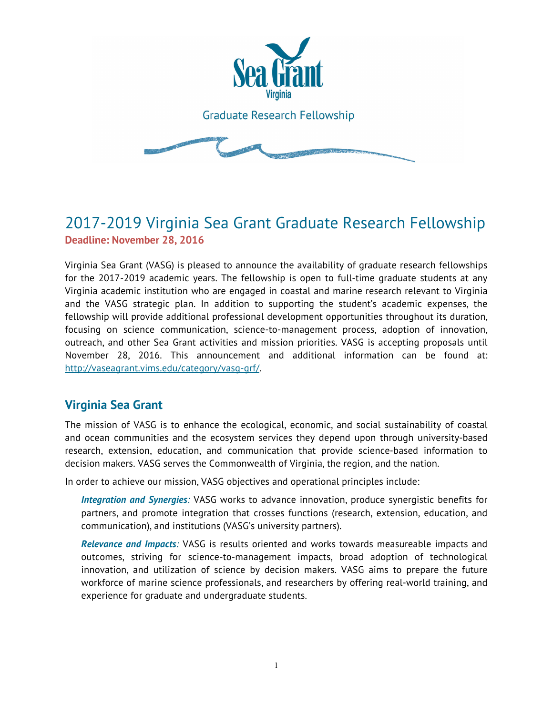

# 2017-2019 Virginia Sea Grant Graduate Research Fellowship **Deadline: November 28, 2016**

Virginia Sea Grant (VASG) is pleased to announce the availability of graduate research fellowships for the 2017-2019 academic years. The fellowship is open to full-time graduate students at any Virginia academic institution who are engaged in coastal and marine research relevant to Virginia and the VASG strategic plan. In addition to supporting the student's academic expenses, the fellowship will provide additional professional development opportunities throughout its duration, focusing on science communication, science-to-management process, adoption of innovation, outreach, and other Sea Grant activities and mission priorities. VASG is accepting proposals until November 28, 2016. This announcement and additional information can be found at: http://vaseagrant.vims.edu/category/vasg-grf/.

## **Virginia Sea Grant**

The mission of VASG is to enhance the ecological, economic, and social sustainability of coastal and ocean communities and the ecosystem services they depend upon through university-based research, extension, education, and communication that provide science-based information to decision makers. VASG serves the Commonwealth of Virginia, the region, and the nation.

In order to achieve our mission, VASG objectives and operational principles include:

*Integration and Synergies:* VASG works to advance innovation, produce synergistic benefits for partners, and promote integration that crosses functions (research, extension, education, and communication), and institutions (VASG's university partners).

*Relevance and Impacts:* VASG is results oriented and works towards measureable impacts and outcomes, striving for science-to-management impacts, broad adoption of technological innovation, and utilization of science by decision makers. VASG aims to prepare the future workforce of marine science professionals, and researchers by offering real-world training, and experience for graduate and undergraduate students.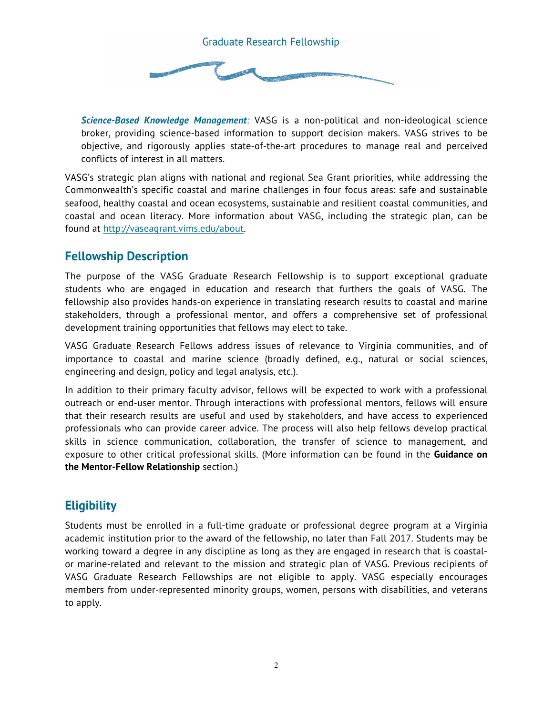

*Science-Based Knowledge Management:* VASG is a non-political and non-ideological science broker, providing science-based information to support decision makers. VASG strives to be objective, and rigorously applies state-of-the-art procedures to manage real and perceived conflicts of interest in all matters.

VASG's strategic plan aligns with national and regional Sea Grant priorities, while addressing the Commonwealth's specific coastal and marine challenges in four focus areas: safe and sustainable seafood, healthy coastal and ocean ecosystems, sustainable and resilient coastal communities, and coastal and ocean literacy. More information about VASG, including the strategic plan, can be found at http://vaseagrant.vims.edu/about.

## **Fellowship Description**

The purpose of the VASG Graduate Research Fellowship is to support exceptional graduate students who are engaged in education and research that furthers the goals of VASG. The fellowship also provides hands-on experience in translating research results to coastal and marine stakeholders, through a professional mentor, and offers a comprehensive set of professional development training opportunities that fellows may elect to take.

VASG Graduate Research Fellows address issues of relevance to Virginia communities, and of importance to coastal and marine science (broadly defined, e.g., natural or social sciences, engineering and design, policy and legal analysis, etc.).

In addition to their primary faculty advisor, fellows will be expected to work with a professional outreach or end-user mentor. Through interactions with professional mentors, fellows will ensure that their research results are useful and used by stakeholders, and have access to experienced professionals who can provide career advice. The process will also help fellows develop practical skills in science communication, collaboration, the transfer of science to management, and exposure to other critical professional skills. (More information can be found in the **Guidance on the Mentor-Fellow Relationship** section.)

## **Eligibility**

Students must be enrolled in a full-time graduate or professional degree program at a Virginia academic institution prior to the award of the fellowship, no later than Fall 2017. Students may be working toward a degree in any discipline as long as they are engaged in research that is coastalor marine-related and relevant to the mission and strategic plan of VASG. Previous recipients of VASG Graduate Research Fellowships are not eligible to apply. VASG especially encourages members from under-represented minority groups, women, persons with disabilities, and veterans to apply.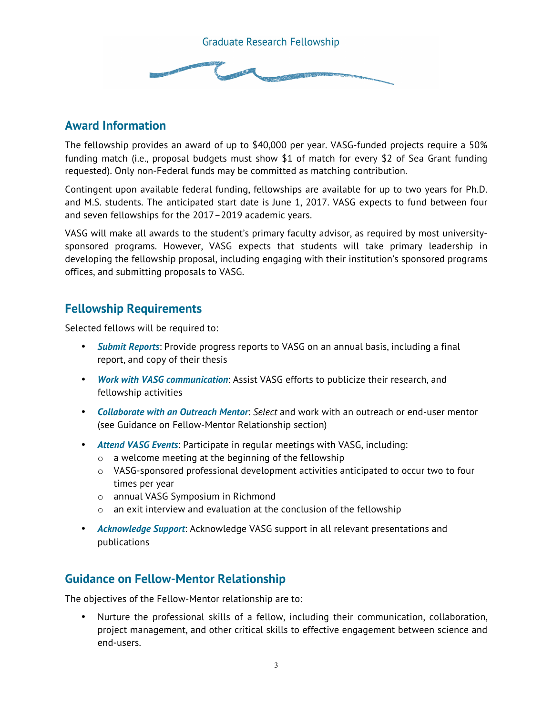

### **Award Information**

The fellowship provides an award of up to \$40,000 per year. VASG-funded projects require a 50% funding match (i.e., proposal budgets must show \$1 of match for every \$2 of Sea Grant funding requested). Only non-Federal funds may be committed as matching contribution.

Contingent upon available federal funding, fellowships are available for up to two years for Ph.D. and M.S. students. The anticipated start date is June 1, 2017. VASG expects to fund between four and seven fellowships for the 2017–2019 academic years.

VASG will make all awards to the student's primary faculty advisor, as required by most universitysponsored programs. However, VASG expects that students will take primary leadership in developing the fellowship proposal, including engaging with their institution's sponsored programs offices, and submitting proposals to VASG.

## **Fellowship Requirements**

Selected fellows will be required to:

- *Submit Reports*: Provide progress reports to VASG on an annual basis, including a final report, and copy of their thesis
- *Work with VASG communication*: Assist VASG efforts to publicize their research, and fellowship activities
- *Collaborate with an Outreach Mentor*: *Select* and work with an outreach or end-user mentor (see Guidance on Fellow-Mentor Relationship section)
- *Attend VASG Events*: Participate in regular meetings with VASG, including:
	- o a welcome meeting at the beginning of the fellowship
	- $\circ$  VASG-sponsored professional development activities anticipated to occur two to four times per year
	- o annual VASG Symposium in Richmond
	- o an exit interview and evaluation at the conclusion of the fellowship
- *Acknowledge Support*: Acknowledge VASG support in all relevant presentations and publications

### **Guidance on Fellow-Mentor Relationship**

The objectives of the Fellow-Mentor relationship are to:

• Nurture the professional skills of a fellow, including their communication, collaboration, project management, and other critical skills to effective engagement between science and end-users.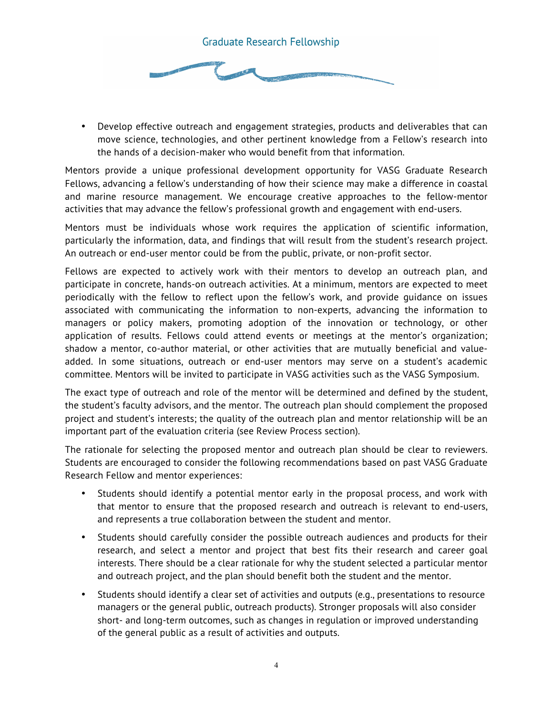

• Develop effective outreach and engagement strategies, products and deliverables that can move science, technologies, and other pertinent knowledge from a Fellow's research into the hands of a decision-maker who would benefit from that information.

Mentors provide a unique professional development opportunity for VASG Graduate Research Fellows, advancing a fellow's understanding of how their science may make a difference in coastal and marine resource management. We encourage creative approaches to the fellow-mentor activities that may advance the fellow's professional growth and engagement with end-users.

Mentors must be individuals whose work requires the application of scientific information, particularly the information, data, and findings that will result from the student's research project. An outreach or end-user mentor could be from the public, private, or non-profit sector.

Fellows are expected to actively work with their mentors to develop an outreach plan, and participate in concrete, hands-on outreach activities. At a minimum, mentors are expected to meet periodically with the fellow to reflect upon the fellow's work, and provide guidance on issues associated with communicating the information to non-experts, advancing the information to managers or policy makers, promoting adoption of the innovation or technology, or other application of results. Fellows could attend events or meetings at the mentor's organization; shadow a mentor, co-author material, or other activities that are mutually beneficial and valueadded. In some situations, outreach or end-user mentors may serve on a student's academic committee. Mentors will be invited to participate in VASG activities such as the VASG Symposium.

The exact type of outreach and role of the mentor will be determined and defined by the student, the student's faculty advisors, and the mentor. The outreach plan should complement the proposed project and student's interests; the quality of the outreach plan and mentor relationship will be an important part of the evaluation criteria (see Review Process section).

The rationale for selecting the proposed mentor and outreach plan should be clear to reviewers. Students are encouraged to consider the following recommendations based on past VASG Graduate Research Fellow and mentor experiences:

- Students should identify a potential mentor early in the proposal process, and work with that mentor to ensure that the proposed research and outreach is relevant to end-users, and represents a true collaboration between the student and mentor.
- Students should carefully consider the possible outreach audiences and products for their research, and select a mentor and project that best fits their research and career goal interests. There should be a clear rationale for why the student selected a particular mentor and outreach project, and the plan should benefit both the student and the mentor.
- Students should identify a clear set of activities and outputs (e.g., presentations to resource managers or the general public, outreach products). Stronger proposals will also consider short- and long-term outcomes, such as changes in regulation or improved understanding of the general public as a result of activities and outputs.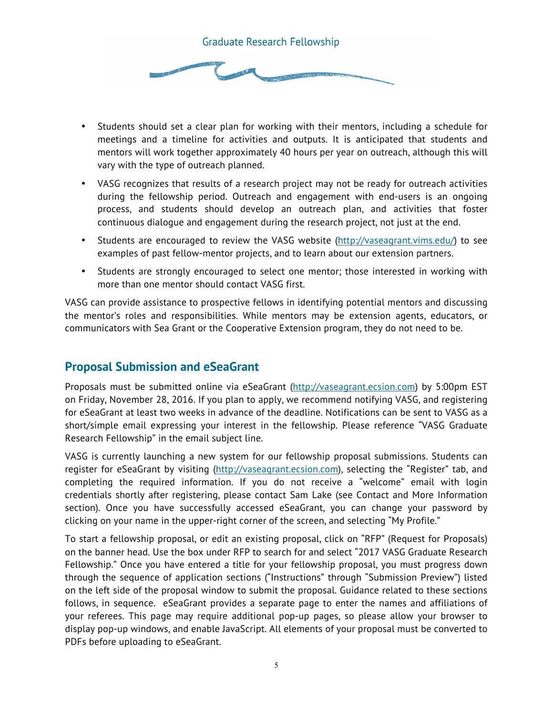

- Students should set a clear plan for working with their mentors, including a schedule for meetings and a timeline for activities and outputs. It is anticipated that students and mentors will work together approximately 40 hours per year on outreach, although this will vary with the type of outreach planned.
- VASG recognizes that results of a research project may not be ready for outreach activities during the fellowship period. Outreach and engagement with end-users is an ongoing process, and students should develop an outreach plan, and activities that foster continuous dialogue and engagement during the research project, not just at the end.
- Students are encouraged to review the VASG website (http://vaseagrant.vims.edu/) to see examples of past fellow-mentor projects, and to learn about our extension partners.
- Students are strongly encouraged to select one mentor; those interested in working with more than one mentor should contact VASG first.

VASG can provide assistance to prospective fellows in identifying potential mentors and discussing the mentor's roles and responsibilities. While mentors may be extension agents, educators, or communicators with Sea Grant or the Cooperative Extension program, they do not need to be.

### **Proposal Submission and eSeaGrant**

Proposals must be submitted online via eSeaGrant (http://vaseagrant.ecsion.com) by 5:00pm EST on Friday, November 28, 2016. If you plan to apply, we recommend notifying VASG, and registering for eSeaGrant at least two weeks in advance of the deadline. Notifications can be sent to VASG as a short/simple email expressing your interest in the fellowship. Please reference "VASG Graduate Research Fellowship" in the email subject line.

VASG is currently launching a new system for our fellowship proposal submissions. Students can register for eSeaGrant by visiting (http://vaseagrant.ecsion.com), selecting the "Register" tab, and completing the required information. If you do not receive a "welcome" email with login credentials shortly after registering, please contact Sam Lake (see Contact and More Information section). Once you have successfully accessed eSeaGrant, you can change your password by clicking on your name in the upper-right corner of the screen, and selecting "My Profile."

To start a fellowship proposal, or edit an existing proposal, click on "RFP" (Request for Proposals) on the banner head. Use the box under RFP to search for and select "2017 VASG Graduate Research Fellowship." Once you have entered a title for your fellowship proposal, you must progress down through the sequence of application sections ("Instructions" through "Submission Preview") listed on the left side of the proposal window to submit the proposal. Guidance related to these sections follows, in sequence. eSeaGrant provides a separate page to enter the names and affiliations of your referees. This page may require additional pop-up pages, so please allow your browser to display pop-up windows, and enable JavaScript. All elements of your proposal must be converted to PDFs before uploading to eSeaGrant.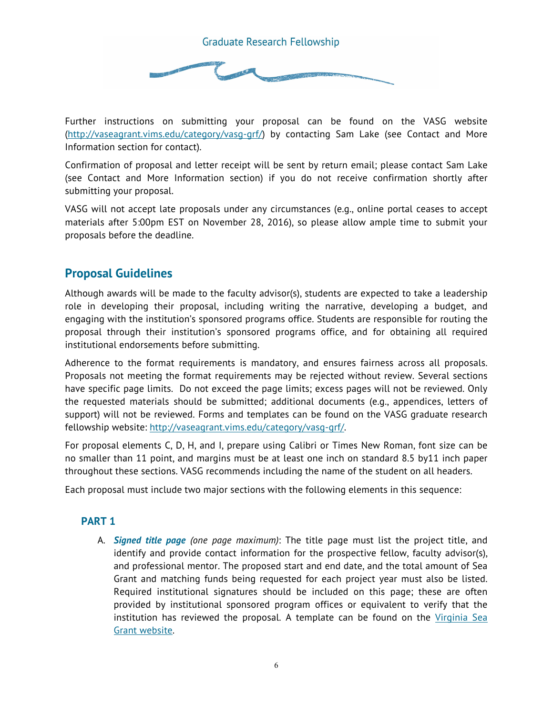

Further instructions on submitting your proposal can be found on the VASG website (http://vaseagrant.vims.edu/category/vasg-grf/) by contacting Sam Lake (see Contact and More Information section for contact).

Confirmation of proposal and letter receipt will be sent by return email; please contact Sam Lake (see Contact and More Information section) if you do not receive confirmation shortly after submitting your proposal.

VASG will not accept late proposals under any circumstances (e.g., online portal ceases to accept materials after 5:00pm EST on November 28, 2016), so please allow ample time to submit your proposals before the deadline.

### **Proposal Guidelines**

Although awards will be made to the faculty advisor(s), students are expected to take a leadership role in developing their proposal, including writing the narrative, developing a budget, and engaging with the institution's sponsored programs office. Students are responsible for routing the proposal through their institution's sponsored programs office, and for obtaining all required institutional endorsements before submitting.

Adherence to the format requirements is mandatory, and ensures fairness across all proposals. Proposals not meeting the format requirements may be rejected without review. Several sections have specific page limits. Do not exceed the page limits; excess pages will not be reviewed. Only the requested materials should be submitted; additional documents (e.g., appendices, letters of support) will not be reviewed. Forms and templates can be found on the VASG graduate research fellowship website: http://vaseagrant.vims.edu/category/vasg-grf/.

For proposal elements C, D, H, and I, prepare using Calibri or Times New Roman, font size can be no smaller than 11 point, and margins must be at least one inch on standard 8.5 by11 inch paper throughout these sections. VASG recommends including the name of the student on all headers.

Each proposal must include two major sections with the following elements in this sequence:

#### **PART 1**

A. *Signed title page (one page maximum)*: The title page must list the project title, and identify and provide contact information for the prospective fellow, faculty advisor(s), and professional mentor. The proposed start and end date, and the total amount of Sea Grant and matching funds being requested for each project year must also be listed. Required institutional signatures should be included on this page; these are often provided by institutional sponsored program offices or equivalent to verify that the institution has reviewed the proposal. A template can be found on the Virginia Sea Grant website.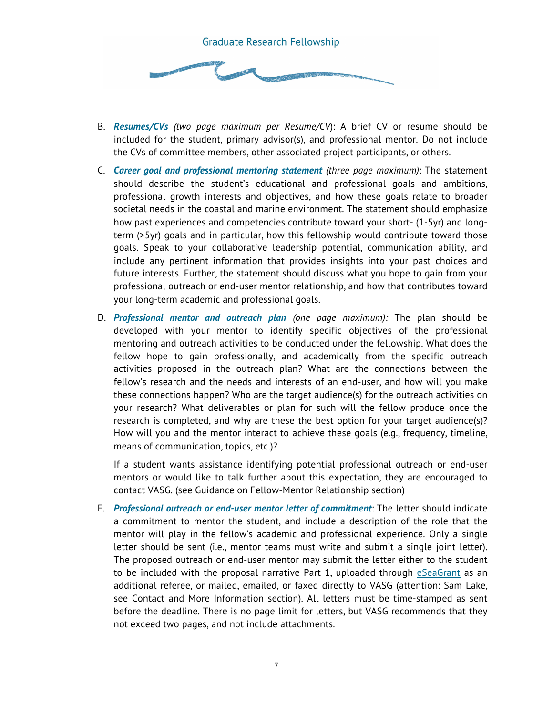

- B. *Resumes/CVs (two page maximum per Resume/CV*): A brief CV or resume should be included for the student, primary advisor(s), and professional mentor. Do not include the CVs of committee members, other associated project participants, or others.
- C. *Career goal and professional mentoring statement (three page maximum)*: The statement should describe the student's educational and professional goals and ambitions, professional growth interests and objectives, and how these goals relate to broader societal needs in the coastal and marine environment. The statement should emphasize how past experiences and competencies contribute toward your short- (1-5yr) and longterm (>5yr) goals and in particular, how this fellowship would contribute toward those goals. Speak to your collaborative leadership potential, communication ability, and include any pertinent information that provides insights into your past choices and future interests. Further, the statement should discuss what you hope to gain from your professional outreach or end-user mentor relationship, and how that contributes toward your long-term academic and professional goals.
- D. *Professional mentor and outreach plan (one page maximum):* The plan should be developed with your mentor to identify specific objectives of the professional mentoring and outreach activities to be conducted under the fellowship. What does the fellow hope to gain professionally, and academically from the specific outreach activities proposed in the outreach plan? What are the connections between the fellow's research and the needs and interests of an end-user, and how will you make these connections happen? Who are the target audience(s) for the outreach activities on your research? What deliverables or plan for such will the fellow produce once the research is completed, and why are these the best option for your target audience(s)? How will you and the mentor interact to achieve these goals (e.g., frequency, timeline, means of communication, topics, etc.)?

If a student wants assistance identifying potential professional outreach or end-user mentors or would like to talk further about this expectation, they are encouraged to contact VASG. (see Guidance on Fellow-Mentor Relationship section)

E. *Professional outreach or end-user mentor letter of commitment*: The letter should indicate a commitment to mentor the student, and include a description of the role that the mentor will play in the fellow's academic and professional experience. Only a single letter should be sent (i.e., mentor teams must write and submit a single joint letter). The proposed outreach or end-user mentor may submit the letter either to the student to be included with the proposal narrative Part 1, uploaded through eSeaGrant as an additional referee, or mailed, emailed, or faxed directly to VASG (attention: Sam Lake, see Contact and More Information section). All letters must be time-stamped as sent before the deadline. There is no page limit for letters, but VASG recommends that they not exceed two pages, and not include attachments.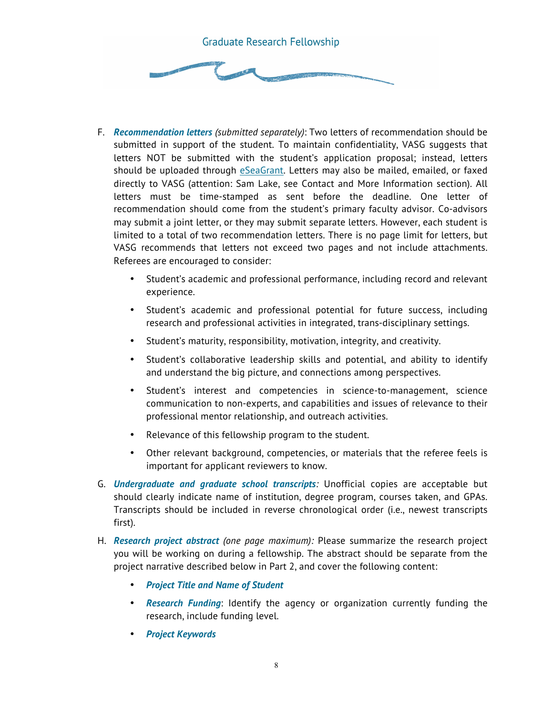

- F. *Recommendation letters (submitted separately)*: Two letters of recommendation should be submitted in support of the student. To maintain confidentiality, VASG suggests that letters NOT be submitted with the student's application proposal; instead, letters should be uploaded through eSeaGrant. Letters may also be mailed, emailed, or faxed directly to VASG (attention: Sam Lake, see Contact and More Information section). All letters must be time-stamped as sent before the deadline. One letter of recommendation should come from the student's primary faculty advisor. Co-advisors may submit a joint letter, or they may submit separate letters. However, each student is limited to a total of two recommendation letters. There is no page limit for letters, but VASG recommends that letters not exceed two pages and not include attachments. Referees are encouraged to consider:
	- Student's academic and professional performance, including record and relevant experience.
	- Student's academic and professional potential for future success, including research and professional activities in integrated, trans-disciplinary settings.
	- Student's maturity, responsibility, motivation, integrity, and creativity.
	- Student's collaborative leadership skills and potential, and ability to identify and understand the big picture, and connections among perspectives.
	- Student's interest and competencies in science-to-management, science communication to non-experts, and capabilities and issues of relevance to their professional mentor relationship, and outreach activities.
	- Relevance of this fellowship program to the student.
	- Other relevant background, competencies, or materials that the referee feels is important for applicant reviewers to know.
- G. *Undergraduate and graduate school transcripts:* Unofficial copies are acceptable but should clearly indicate name of institution, degree program, courses taken, and GPAs. Transcripts should be included in reverse chronological order (i.e., newest transcripts first).
- H. *Research project abstract (one page maximum):* Please summarize the research project you will be working on during a fellowship. The abstract should be separate from the project narrative described below in Part 2, and cover the following content:
	- *Project Title and Name of Student*
	- *Research Funding*: Identify the agency or organization currently funding the research, include funding level.
	- *Project Keywords*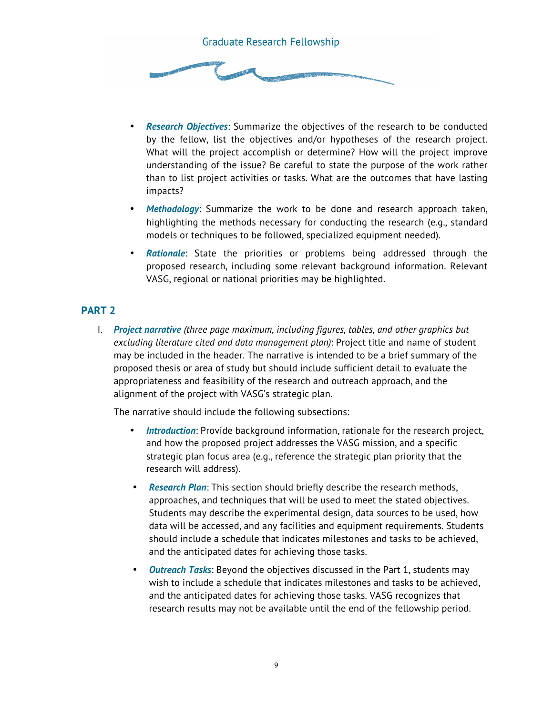

- *Research Objectives*: Summarize the objectives of the research to be conducted by the fellow, list the objectives and/or hypotheses of the research project. What will the project accomplish or determine? How will the project improve understanding of the issue? Be careful to state the purpose of the work rather than to list project activities or tasks. What are the outcomes that have lasting impacts?
- *Methodology*: Summarize the work to be done and research approach taken, highlighting the methods necessary for conducting the research (e.g., standard models or techniques to be followed, specialized equipment needed).
- **Rationale:** State the priorities or problems being addressed through the proposed research, including some relevant background information. Relevant VASG, regional or national priorities may be highlighted.

#### **PART 2**

I. *Project narrative (three page maximum, including figures, tables, and other graphics but excluding literature cited and data management plan)*: Project title and name of student may be included in the header. The narrative is intended to be a brief summary of the proposed thesis or area of study but should include sufficient detail to evaluate the appropriateness and feasibility of the research and outreach approach, and the alignment of the project with VASG's strategic plan.

The narrative should include the following subsections:

- *Introduction*: Provide background information, rationale for the research project, and how the proposed project addresses the VASG mission, and a specific strategic plan focus area (e.g., reference the strategic plan priority that the research will address).
- *Research Plan*: This section should briefly describe the research methods, approaches, and techniques that will be used to meet the stated objectives. Students may describe the experimental design, data sources to be used, how data will be accessed, and any facilities and equipment requirements. Students should include a schedule that indicates milestones and tasks to be achieved, and the anticipated dates for achieving those tasks.
- *Outreach Tasks*: Beyond the objectives discussed in the Part 1, students may wish to include a schedule that indicates milestones and tasks to be achieved, and the anticipated dates for achieving those tasks. VASG recognizes that research results may not be available until the end of the fellowship period.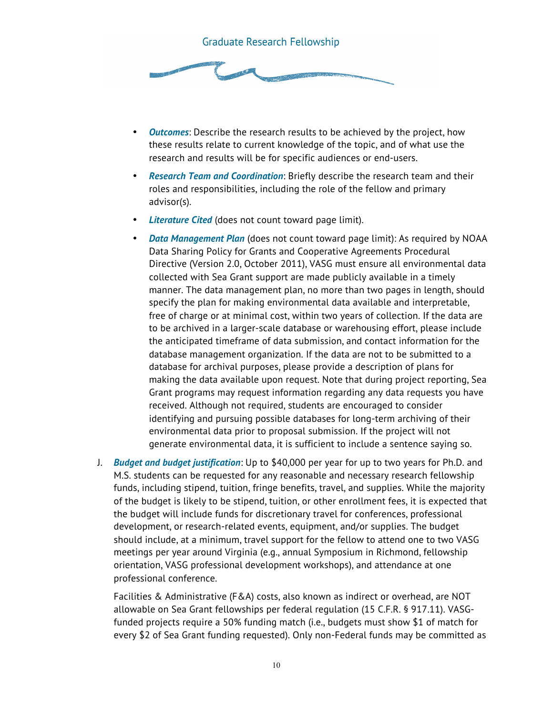

- *Outcomes*: Describe the research results to be achieved by the project, how these results relate to current knowledge of the topic, and of what use the research and results will be for specific audiences or end-users.
- *Research Team and Coordination*: Briefly describe the research team and their roles and responsibilities, including the role of the fellow and primary advisor(s).
- *Literature Cited* (does not count toward page limit).
- *Data Management Plan* (does not count toward page limit): As required by NOAA Data Sharing Policy for Grants and Cooperative Agreements Procedural Directive (Version 2.0, October 2011), VASG must ensure all environmental data collected with Sea Grant support are made publicly available in a timely manner. The data management plan, no more than two pages in length, should specify the plan for making environmental data available and interpretable, free of charge or at minimal cost, within two years of collection. If the data are to be archived in a larger-scale database or warehousing effort, please include the anticipated timeframe of data submission, and contact information for the database management organization. If the data are not to be submitted to a database for archival purposes, please provide a description of plans for making the data available upon request. Note that during project reporting, Sea Grant programs may request information regarding any data requests you have received. Although not required, students are encouraged to consider identifying and pursuing possible databases for long-term archiving of their environmental data prior to proposal submission. If the project will not generate environmental data, it is sufficient to include a sentence saying so.
- J. *Budget and budget justification*: Up to \$40,000 per year for up to two years for Ph.D. and M.S. students can be requested for any reasonable and necessary research fellowship funds, including stipend, tuition, fringe benefits, travel, and supplies. While the majority of the budget is likely to be stipend, tuition, or other enrollment fees, it is expected that the budget will include funds for discretionary travel for conferences, professional development, or research-related events, equipment, and/or supplies. The budget should include, at a minimum, travel support for the fellow to attend one to two VASG meetings per year around Virginia (e.g., annual Symposium in Richmond, fellowship orientation, VASG professional development workshops), and attendance at one professional conference.

Facilities & Administrative (F&A) costs, also known as indirect or overhead, are NOT allowable on Sea Grant fellowships per federal regulation (15 C.F.R. § 917.11). VASGfunded projects require a 50% funding match (i.e., budgets must show \$1 of match for every \$2 of Sea Grant funding requested). Only non-Federal funds may be committed as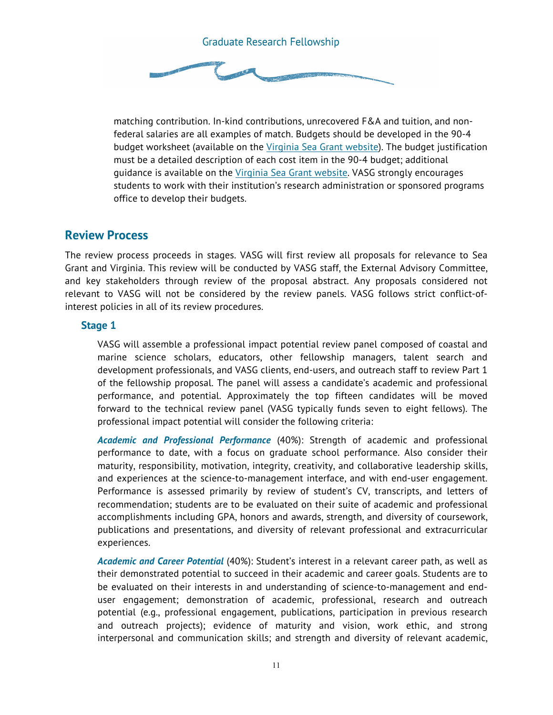

matching contribution. In-kind contributions, unrecovered F&A and tuition, and nonfederal salaries are all examples of match. Budgets should be developed in the 90-4 budget worksheet (available on the Virginia Sea Grant website). The budget justification must be a detailed description of each cost item in the 90-4 budget; additional guidance is available on the Virginia Sea Grant website. VASG strongly encourages students to work with their institution's research administration or sponsored programs office to develop their budgets.

#### **Review Process**

The review process proceeds in stages. VASG will first review all proposals for relevance to Sea Grant and Virginia. This review will be conducted by VASG staff, the External Advisory Committee, and key stakeholders through review of the proposal abstract. Any proposals considered not relevant to VASG will not be considered by the review panels. VASG follows strict conflict-ofinterest policies in all of its review procedures.

#### **Stage 1**

VASG will assemble a professional impact potential review panel composed of coastal and marine science scholars, educators, other fellowship managers, talent search and development professionals, and VASG clients, end-users, and outreach staff to review Part 1 of the fellowship proposal. The panel will assess a candidate's academic and professional performance, and potential. Approximately the top fifteen candidates will be moved forward to the technical review panel (VASG typically funds seven to eight fellows). The professional impact potential will consider the following criteria:

*Academic and Professional Performance* (40%): Strength of academic and professional performance to date, with a focus on graduate school performance. Also consider their maturity, responsibility, motivation, integrity, creativity, and collaborative leadership skills, and experiences at the science-to-management interface, and with end-user engagement. Performance is assessed primarily by review of student's CV, transcripts, and letters of recommendation; students are to be evaluated on their suite of academic and professional accomplishments including GPA, honors and awards, strength, and diversity of coursework, publications and presentations, and diversity of relevant professional and extracurricular experiences.

*Academic and Career Potential* (40%): Student's interest in a relevant career path, as well as their demonstrated potential to succeed in their academic and career goals. Students are to be evaluated on their interests in and understanding of science-to-management and enduser engagement; demonstration of academic, professional, research and outreach potential (e.g., professional engagement, publications, participation in previous research and outreach projects); evidence of maturity and vision, work ethic, and strong interpersonal and communication skills; and strength and diversity of relevant academic,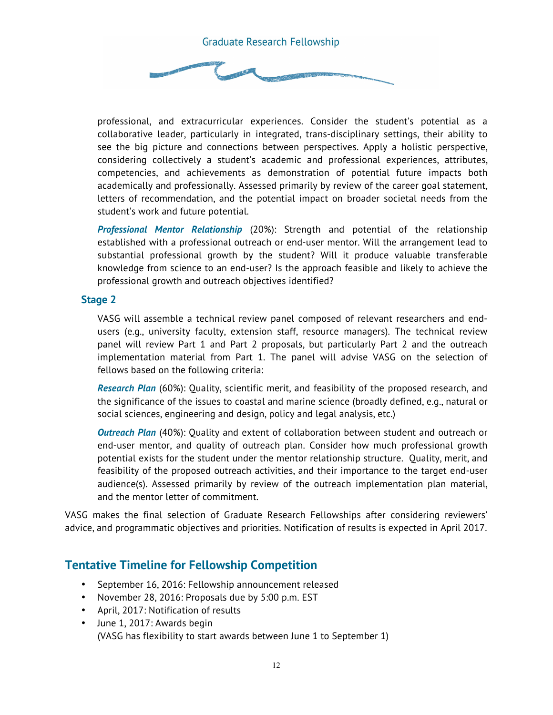

professional, and extracurricular experiences. Consider the student's potential as a collaborative leader, particularly in integrated, trans-disciplinary settings, their ability to see the big picture and connections between perspectives. Apply a holistic perspective, considering collectively a student's academic and professional experiences, attributes, competencies, and achievements as demonstration of potential future impacts both academically and professionally. Assessed primarily by review of the career goal statement, letters of recommendation, and the potential impact on broader societal needs from the student's work and future potential.

*Professional Mentor Relationship* (20%): Strength and potential of the relationship established with a professional outreach or end-user mentor. Will the arrangement lead to substantial professional growth by the student? Will it produce valuable transferable knowledge from science to an end-user? Is the approach feasible and likely to achieve the professional growth and outreach objectives identified?

#### **Stage 2**

VASG will assemble a technical review panel composed of relevant researchers and endusers (e.g., university faculty, extension staff, resource managers). The technical review panel will review Part 1 and Part 2 proposals, but particularly Part 2 and the outreach implementation material from Part 1. The panel will advise VASG on the selection of fellows based on the following criteria:

*Research Plan* (60%): Quality, scientific merit, and feasibility of the proposed research, and the significance of the issues to coastal and marine science (broadly defined, e.g., natural or social sciences, engineering and design, policy and legal analysis, etc.)

*Outreach Plan* (40%): Quality and extent of collaboration between student and outreach or end-user mentor, and quality of outreach plan. Consider how much professional growth potential exists for the student under the mentor relationship structure. Quality, merit, and feasibility of the proposed outreach activities, and their importance to the target end-user audience(s). Assessed primarily by review of the outreach implementation plan material, and the mentor letter of commitment.

VASG makes the final selection of Graduate Research Fellowships after considering reviewers' advice, and programmatic objectives and priorities. Notification of results is expected in April 2017.

### **Tentative Timeline for Fellowship Competition**

- September 16, 2016: Fellowship announcement released
- November 28, 2016: Proposals due by 5:00 p.m. EST
- April, 2017: Notification of results
- June 1, 2017: Awards begin (VASG has flexibility to start awards between June 1 to September 1)